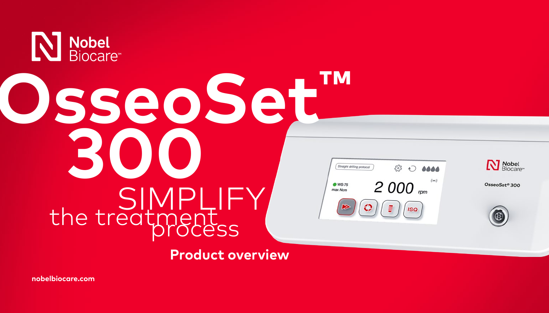

**[nobelbiocare.com](https://www.nobelbiocare.com/)**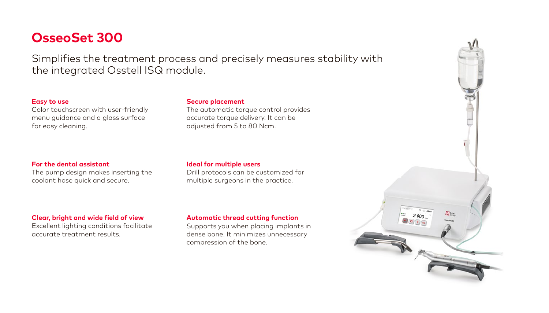## **OsseoSet 300**

Simplifies the treatment process and precisely measures stability with the integrated Osstell ISQ module.

### **Easy to use**

Color touchscreen with user-friendly menu guidance and a glass surface for easy cleaning.

### **For the dental assistant**

The pump design makes inserting the coolant hose quick and secure.

### **Clear, bright and wide field of view**

Excellent lighting conditions facilitate accurate treatment results.

### **Secure placement**

The automatic torque control provides accurate torque delivery. It can be adjusted from 5 to 80 Ncm.

#### **Ideal for multiple users** Drill protocols can be customized for

multiple surgeons in the practice.

### **Automatic thread cutting function**

Supports you when placing implants in dense bone. It minimizes unnecessary compression of the bone.

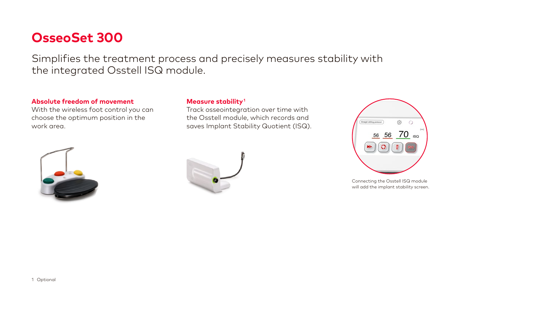## **OsseoSet 300**

Simplifies the treatment process and precisely measures stability with the integrated Osstell ISQ module.

### **Absolute freedom of movement**

With the wireless foot control you can choose the optimum position in the work area.



### **Measure stability1**

Track osseointegration over time with the Osstell module, which records and saves Implant Stability Quotient (ISQ).





Connecting the Osstell ISQ module will add the implant stability screen.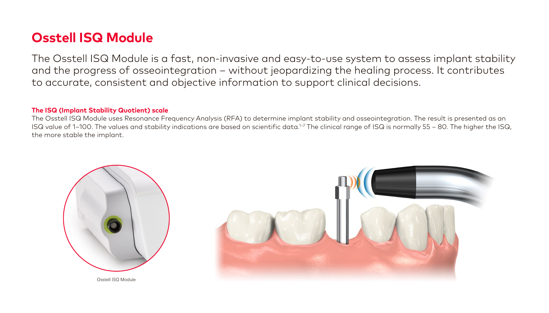## **Osstell ISQ Module**

The Osstell ISQ Module is a fast, non-invasive and easy-to-use system to assess implant stability and the progress of osseointegration – without jeopardizing the healing process. It contributes to accurate, consistent and objective information to support clinical decisions.

### **The ISQ (Implant Stability Quotient) scale**

The Osstell ISQ Module uses Resonance Frequency Analysis (RFA) to determine implant stability and osseointegration. The result is presented as an ISQ value of 1–100. The values and stability indications are based on scientific data.<sup>1-7</sup> The clinical range of ISQ is normally 55 – 80. The higher the ISQ, the more stable the implant.

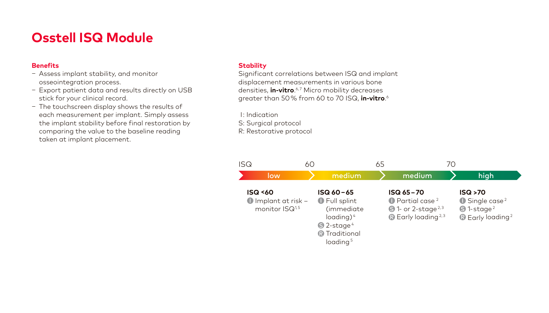# **Osstell ISQ Module**

### **Benefits**

- Assess implant stability, and monitor osseointegration process.
- Export patient data and results directly on USB stick for your clinical record.
- The touchscreen display shows the results of each measurement per implant. Simply assess the implant stability before final restoration by comparing the value to the baseline reading taken at implant placement.

### **Stability**

Significant correlations between ISQ and implant displacement measurements in various bone densities, **in-vitro**. 6, 7 Micro mobility decreases greater than 50% from 60 to 70 ISQ, **in-vitro**. 6

I: Indication

S: Surgical protocol

R: Restorative protocol

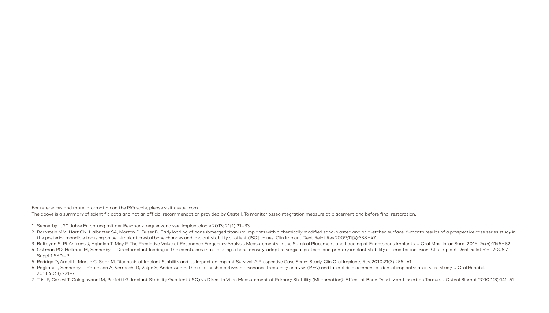For references and more information on the ISQ scale, please visit [osstell.com](http://osstell.com)

The above is a summary of scientific data and not an official recommendation provided by Osstell. To monitor osseointegration measure at placement and before final restoration.

- 1 Sennerby L. 20 Jahre Erfahrung mit der Resonanzfrequenzanalyse. Implantologie 2013; 21(1):21–33
- 2 Bornstein MM, Hart CN, Halbritter SA, Morton D, Buser D. Early loading of nonsubmerged titanium implants with a chemically modified sand-blasted and acid-etched surface: 6-month results of a prospective case series study the posterior mandible focusing on peri-implant crestal bone changes and implant stability quotient (ISQ) values. Clin Implant Dent Relat Res 2009;11(4):338–47
- 3 Baltayan S, Pi-Anfruns J, Aghaloo T, Moy P. The Predictive Value of Resonance Frequency Analysis Measurements in the Surgical Placement and Loading of Endosseous Implants. J Oral Maxillofac Surg. 2016; 74(6):1145–52
- 4 Ostman PO, Hellman M, Sennerby L. Direct implant loading in the edentulous maxilla using a bone density-adapted surgical protocol and primary implant stability criteria for inclusion. Clin Implant Dent Relat Res. 2005;7 Suppl 1:S60–9
- 5 Rodrigo D, Aracil L, Martin C, Sanz M. Diagnosis of Implant Stability and its Impact on Implant Survival: A Prospective Case Series Study. Clin Oral Implants Res. 2010;21(3):255–61
- 6 Pagliani L, Sennerby L, Petersson A, Verrocchi D, Volpe S, Andersson P. The relationship between resonance frequency analysis (RFA) and lateral displacement of dental implants: an in vitro study. J Oral Rehabil. 2013;40(3):221–7
- 7 Trisi P. Carlesi T. Colagiovanni M. Perfetti G. Implant Stability Quotient (ISQ) vs Direct in Vitro Measurement of Primary Stability (Micromotion): Effect of Bone Density and Insertion Torque, J Osteol Biomat 2010;1(3):1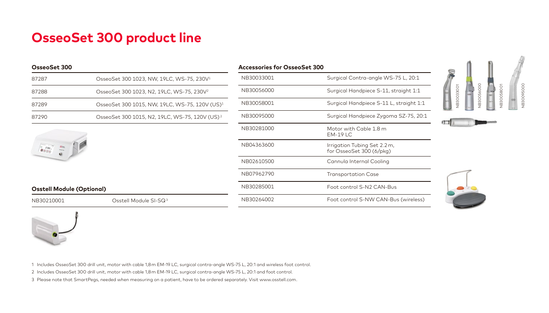# **OsseoSet 300 product line**

#### **OsseoSet 300**

| 87287 | OsseoSet 300 1023, NW, 19LC, WS-75, 230V <sup>1</sup>      |
|-------|------------------------------------------------------------|
| 87288 | OsseoSet 300 1023, N2, 19LC, WS-75, 230V <sup>2</sup>      |
| 87289 | OsseoSet 300 1015, NW, 19LC, WS-75, 120V (US) <sup>1</sup> |
| 87290 | OsseoSet 300 1015, N2, 19LC, WS-75, 120V (US) <sup>2</sup> |
|       |                                                            |



## **Osstell Module (Optional)**

NB30210001 Osstell Module SI-SQ3

| Accessories for OsseoSet 300 |                                                          |
|------------------------------|----------------------------------------------------------|
| NB30033001                   | Surgical Contra-angle WS-75 L, 20:1                      |
| NB30056000                   | Surgical Handpiece S-11, straight 1:1                    |
| NB30058001                   | Surgical Handpiece S-11 L, straight 1:1                  |
| NB30095000                   | Surgical Handpiece Zygoma SZ-75, 20:1                    |
| NB30281000                   | Motor with Cable 1.8 m<br>$EM-19 LC$                     |
| NB04363600                   | Irrigation Tubing Set 2.2 m,<br>for OsseoSet 300 (6/pkg) |
| NB02610500                   | Cannula Internal Cooling                                 |
| NB07962790                   | Transportation Case                                      |
| NB30285001                   | Foot control S-N2 CAN-Bus                                |
| NB30264002                   | Foot control S-NW CAN-Bus (wireless)                     |









1 Includes OsseoSet 300 drill unit, motor with cable 1,8m EM-19 LC, surgical contra-angle WS-75 L, 20:1 and wireless foot control.

2 Includes OsseoSet 300 drill unit, motor with cable 1,8m EM-19 LC, surgical contra-angle WS-75 L, 20:1 and foot control.

3 Please note that SmartPegs, needed when measuring on a patient, have to be ordered separately. Visit www.osstell.com.